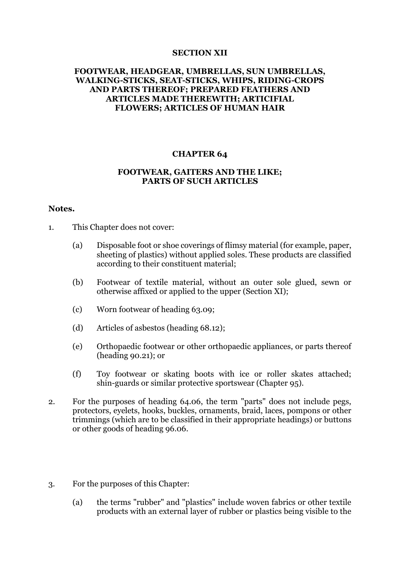#### **SECTION XII**

### **FOOTWEAR, HEADGEAR, UMBRELLAS, SUN UMBRELLAS, WALKING-STICKS, SEAT-STICKS, WHIPS, RIDING-CROPS AND PARTS THEREOF; PREPARED FEATHERS AND ARTICLES MADE THEREWITH; ARTICIFIAL FLOWERS; ARTICLES OF HUMAN HAIR**

# **CHAPTER 64**

#### **FOOTWEAR, GAITERS AND THE LIKE; PARTS OF SUCH ARTICLES**

- 1. This Chapter does not cover:
	- (a) Disposable foot or shoe coverings of flimsy material (for example, paper, sheeting of plastics) without applied soles. These products are classified according to their constituent material;
	- (b) Footwear of textile material, without an outer sole glued, sewn or otherwise affixed or applied to the upper (Section XI);
	- (c) Worn footwear of heading 63.09;
	- (d) Articles of asbestos (heading 68.12);
	- (e) Orthopaedic footwear or other orthopaedic appliances, or parts thereof (heading 90.21); or
	- (f) Toy footwear or skating boots with ice or roller skates attached; shin-guards or similar protective sportswear (Chapter 95).
- 2. For the purposes of heading 64.06, the term "parts" does not include pegs, protectors, eyelets, hooks, buckles, ornaments, braid, laces, pompons or other trimmings (which are to be classified in their appropriate headings) or buttons or other goods of heading 96.06.
- 3. For the purposes of this Chapter:
	- (a) the terms "rubber" and "plastics" include woven fabrics or other textile products with an external layer of rubber or plastics being visible to the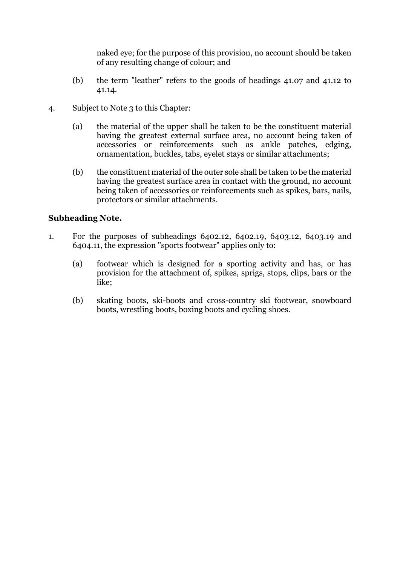naked eye; for the purpose of this provision, no account should be taken of any resulting change of colour; and

- (b) the term "leather" refers to the goods of headings 41.07 and 41.12 to 41.14.
- 4. Subject to Note 3 to this Chapter:
	- (a) the material of the upper shall be taken to be the constituent material having the greatest external surface area, no account being taken of accessories or reinforcements such as ankle patches, edging, ornamentation, buckles, tabs, eyelet stays or similar attachments;
	- (b) the constituent material of the outer sole shall be taken to be the material having the greatest surface area in contact with the ground, no account being taken of accessories or reinforcements such as spikes, bars, nails, protectors or similar attachments.

# **Subheading Note.**

- 1. For the purposes of subheadings 6402.12, 6402.19, 6403.12, 6403.19 and 6404.11, the expression "sports footwear" applies only to:
	- (a) footwear which is designed for a sporting activity and has, or has provision for the attachment of, spikes, sprigs, stops, clips, bars or the like;
	- (b) skating boots, ski-boots and cross-country ski footwear, snowboard boots, wrestling boots, boxing boots and cycling shoes.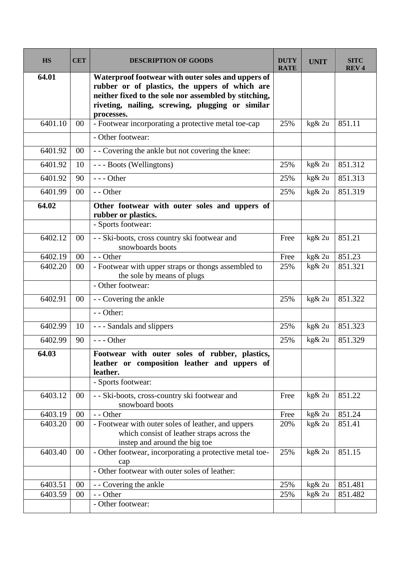| <b>HS</b> | <b>CET</b> | <b>DESCRIPTION OF GOODS</b>                                                                                                                                                                                                     | <b>DUTY</b><br><b>RATE</b> | <b>UNIT</b> | <b>SITC</b><br><b>REV4</b> |
|-----------|------------|---------------------------------------------------------------------------------------------------------------------------------------------------------------------------------------------------------------------------------|----------------------------|-------------|----------------------------|
| 64.01     |            | Waterproof footwear with outer soles and uppers of<br>rubber or of plastics, the uppers of which are<br>neither fixed to the sole nor assembled by stitching,<br>riveting, nailing, screwing, plugging or similar<br>processes. |                            |             |                            |
| 6401.10   | $00\,$     | - Footwear incorporating a protective metal toe-cap                                                                                                                                                                             | 25%                        | kg&2u       | 851.11                     |
|           |            | - Other footwear:                                                                                                                                                                                                               |                            |             |                            |
| 6401.92   | $00\,$     | - - Covering the ankle but not covering the knee:                                                                                                                                                                               |                            |             |                            |
| 6401.92   | 10         | --- Boots (Wellingtons)                                                                                                                                                                                                         | 25%                        | kg& 2u      | 851.312                    |
| 6401.92   | 90         | $--$ Other                                                                                                                                                                                                                      | 25%                        | kg& 2u      | 851.313                    |
| 6401.99   | $00\,$     | - - Other                                                                                                                                                                                                                       | 25%                        | kg& 2u      | 851.319                    |
| 64.02     |            | Other footwear with outer soles and uppers of<br>rubber or plastics.                                                                                                                                                            |                            |             |                            |
|           |            | - Sports footwear:                                                                                                                                                                                                              |                            |             |                            |
| 6402.12   | $00\,$     | - - Ski-boots, cross country ski footwear and<br>snowboards boots                                                                                                                                                               | Free                       | kg& 2u      | 851.21                     |
| 6402.19   | $00\,$     | - - Other                                                                                                                                                                                                                       | Free                       | kg& 2u      | 851.23                     |
| 6402.20   | $00\,$     | - Footwear with upper straps or thongs assembled to<br>the sole by means of plugs<br>- Other footwear:                                                                                                                          | 25%                        | kg& 2u      | 851.321                    |
| 6402.91   | $00\,$     | - - Covering the ankle                                                                                                                                                                                                          | 25%                        | kg& 2u      | 851.322                    |
|           |            | - - Other:                                                                                                                                                                                                                      |                            |             |                            |
|           |            |                                                                                                                                                                                                                                 |                            |             |                            |
| 6402.99   | 10         | - - - Sandals and slippers                                                                                                                                                                                                      | 25%                        | kg& 2u      | 851.323                    |
| 6402.99   | 90         | $--$ Other                                                                                                                                                                                                                      | 25%                        | kg& 2u      | 851.329                    |
| 64.03     |            | Footwear with outer soles of rubber, plastics,<br>leather or composition leather and uppers of<br>leather.                                                                                                                      |                            |             |                            |
|           |            | - Sports footwear:                                                                                                                                                                                                              |                            |             |                            |
| 6403.12   | $00\,$     | - - Ski-boots, cross-country ski footwear and<br>snowboard boots                                                                                                                                                                | Free                       | kg& 2u      | 851.22                     |
| 6403.19   | $00\,$     | - - Other                                                                                                                                                                                                                       | Free                       | kg& 2u      | 851.24                     |
| 6403.20   | $00\,$     | - Footwear with outer soles of leather, and uppers<br>which consist of leather straps across the<br>instep and around the big toe                                                                                               | 20%                        | kg& 2u      | 851.41                     |
| 6403.40   | $00\,$     | - Other footwear, incorporating a protective metal toe-<br>cap                                                                                                                                                                  | 25%                        | kg& 2u      | 851.15                     |
|           |            | - Other footwear with outer soles of leather:                                                                                                                                                                                   |                            |             |                            |
| 6403.51   | 00         | - - Covering the ankle                                                                                                                                                                                                          | 25%                        | kg& 2u      | 851.481                    |
| 6403.59   | $00\,$     | - - Other                                                                                                                                                                                                                       | 25%                        | kg& 2u      | 851.482                    |
|           |            | - Other footwear:                                                                                                                                                                                                               |                            |             |                            |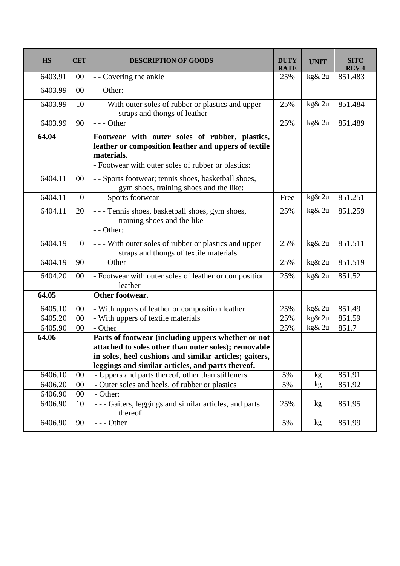| <b>HS</b> | <b>CET</b> | <b>DESCRIPTION OF GOODS</b>                                                                                                                                                                                               | <b>DUTY</b><br><b>RATE</b> | <b>UNIT</b> | <b>SITC</b><br><b>REV4</b> |
|-----------|------------|---------------------------------------------------------------------------------------------------------------------------------------------------------------------------------------------------------------------------|----------------------------|-------------|----------------------------|
| 6403.91   | 00         | - - Covering the ankle                                                                                                                                                                                                    | 25%                        | kg& 2u      | 851.483                    |
| 6403.99   | $00\,$     | $-$ - Other:                                                                                                                                                                                                              |                            |             |                            |
| 6403.99   | 10         | --- With outer soles of rubber or plastics and upper<br>straps and thongs of leather                                                                                                                                      | 25%                        | kg& 2u      | 851.484                    |
| 6403.99   | 90         | $--$ Other                                                                                                                                                                                                                | 25%                        | kg& 2u      | 851.489                    |
| 64.04     |            | Footwear with outer soles of rubber, plastics,<br>leather or composition leather and uppers of textile<br>materials.                                                                                                      |                            |             |                            |
|           |            | - Footwear with outer soles of rubber or plastics:                                                                                                                                                                        |                            |             |                            |
| 6404.11   | 00         | - - Sports footwear; tennis shoes, basketball shoes,<br>gym shoes, training shoes and the like:                                                                                                                           |                            |             |                            |
| 6404.11   | 10         | - - - Sports footwear                                                                                                                                                                                                     | Free                       | kg& 2u      | 851.251                    |
| 6404.11   | 20         | --- Tennis shoes, basketball shoes, gym shoes,<br>training shoes and the like                                                                                                                                             | 25%                        | kg& 2u      | 851.259                    |
|           |            | - - Other:                                                                                                                                                                                                                |                            |             |                            |
| 6404.19   | 10         | --- With outer soles of rubber or plastics and upper<br>straps and thongs of textile materials                                                                                                                            | 25%                        | kg& 2u      | 851.511                    |
| 6404.19   | 90         | $--$ Other                                                                                                                                                                                                                | 25%                        | kg& 2u      | 851.519                    |
| 6404.20   | $00\,$     | - Footwear with outer soles of leather or composition<br>leather                                                                                                                                                          | 25%                        | kg& 2u      | 851.52                     |
| 64.05     |            | Other footwear.                                                                                                                                                                                                           |                            |             |                            |
| 6405.10   | 00         | - With uppers of leather or composition leather                                                                                                                                                                           | 25%                        | kg& 2u      | 851.49                     |
| 6405.20   | 00         | - With uppers of textile materials                                                                                                                                                                                        | 25%                        | kg& 2u      | 851.59                     |
| 6405.90   | 00         | - Other                                                                                                                                                                                                                   | 25%                        | kg& 2u      | 851.7                      |
| 64.06     |            | Parts of footwear (including uppers whether or not<br>attached to soles other than outer soles); removable<br>in-soles, heel cushions and similar articles; gaiters,<br>leggings and similar articles, and parts thereof. |                            |             |                            |
| 6406.10   | 00         | - Uppers and parts thereof, other than stiffeners                                                                                                                                                                         | 5%                         | kg          | 851.91                     |
| 6406.20   | 00         | - Outer soles and heels, of rubber or plastics                                                                                                                                                                            | 5%                         | kg          | 851.92                     |
| 6406.90   | $00\,$     | - Other:                                                                                                                                                                                                                  |                            |             |                            |
| 6406.90   | 10         | - - - Gaiters, leggings and similar articles, and parts<br>thereof                                                                                                                                                        | 25%                        | kg          | 851.95                     |
| 6406.90   | 90         | $---Other$                                                                                                                                                                                                                | 5%                         | kg          | 851.99                     |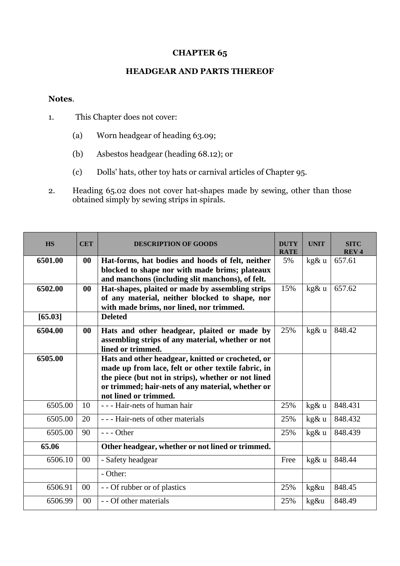# **CHAPTER 65**

# **HEADGEAR AND PARTS THEREOF**

- 1. This Chapter does not cover:
	- (a) Worn headgear of heading 63.09;
	- (b) Asbestos headgear (heading 68.12); or
	- (c) Dolls' hats, other toy hats or carnival articles of Chapter 95.
- 2. Heading 65.02 does not cover hat-shapes made by sewing, other than those obtained simply by sewing strips in spirals.

| <b>HS</b> | <b>CET</b> | <b>DESCRIPTION OF GOODS</b>                                                                | <b>DUTY</b><br><b>RATE</b> | <b>UNIT</b> | <b>SITC</b><br><b>REV4</b> |
|-----------|------------|--------------------------------------------------------------------------------------------|----------------------------|-------------|----------------------------|
| 6501.00   | $\bf{00}$  | Hat-forms, hat bodies and hoods of felt, neither                                           | 5%                         | kg&u        | 657.61                     |
|           |            | blocked to shape nor with made brims; plateaux                                             |                            |             |                            |
|           |            | and manchons (including slit manchons), of felt.                                           |                            |             |                            |
| 6502.00   | $\bf{00}$  | Hat-shapes, plaited or made by assembling strips                                           | 15%                        | kg& u       | 657.62                     |
|           |            | of any material, neither blocked to shape, nor<br>with made brims, nor lined, nor trimmed. |                            |             |                            |
| [65.03]   |            | <b>Deleted</b>                                                                             |                            |             |                            |
|           |            |                                                                                            |                            |             |                            |
| 6504.00   | $\bf{00}$  | Hats and other headgear, plaited or made by                                                | 25%                        | kg&u        | 848.42                     |
|           |            | assembling strips of any material, whether or not                                          |                            |             |                            |
|           |            | lined or trimmed.                                                                          |                            |             |                            |
| 6505.00   |            | Hats and other headgear, knitted or crocheted, or                                          |                            |             |                            |
|           |            | made up from lace, felt or other textile fabric, in                                        |                            |             |                            |
|           |            | the piece (but not in strips), whether or not lined                                        |                            |             |                            |
|           |            | or trimmed; hair-nets of any material, whether or                                          |                            |             |                            |
|           |            | not lined or trimmed.                                                                      |                            |             |                            |
| 6505.00   | 10         | - - - Hair-nets of human hair                                                              | 25%                        | kg& u       | 848.431                    |
| 6505.00   | 20         | --- Hair-nets of other materials                                                           | 25%                        | kg& u       | 848.432                    |
| 6505.00   | 90         | $--$ Other                                                                                 | 25%                        | kg& u       | 848.439                    |
| 65.06     |            | Other headgear, whether or not lined or trimmed.                                           |                            |             |                            |
| 6506.10   | $00\,$     | - Safety headgear                                                                          | Free                       | kg& u       | 848.44                     |
|           |            | - Other:                                                                                   |                            |             |                            |
| 6506.91   | $00\,$     | - - Of rubber or of plastics                                                               | 25%                        | $kg\&u$     | 848.45                     |
| 6506.99   | $00\,$     | - - Of other materials                                                                     | 25%                        | $kg\&u$     | 848.49                     |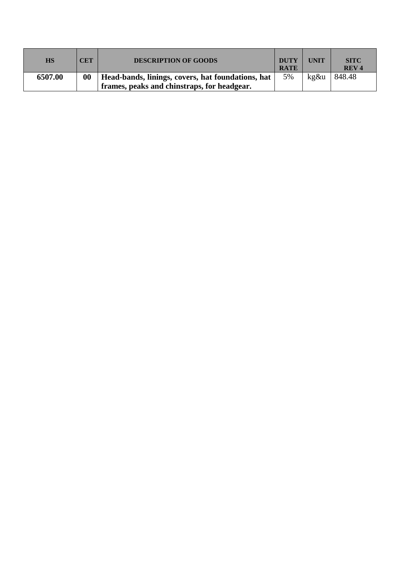| НS      | CET | <b>DESCRIPTION OF GOODS</b>                       | <b>DUTY</b><br><b>RATE</b> | <b>UNIT</b> | <b>SITC</b><br><b>REV4</b> |
|---------|-----|---------------------------------------------------|----------------------------|-------------|----------------------------|
| 6507.00 | 00  | Head-bands, linings, covers, hat foundations, hat | 5%                         | kg&u        | 848.48                     |
|         |     | frames, peaks and chinstraps, for headgear.       |                            |             |                            |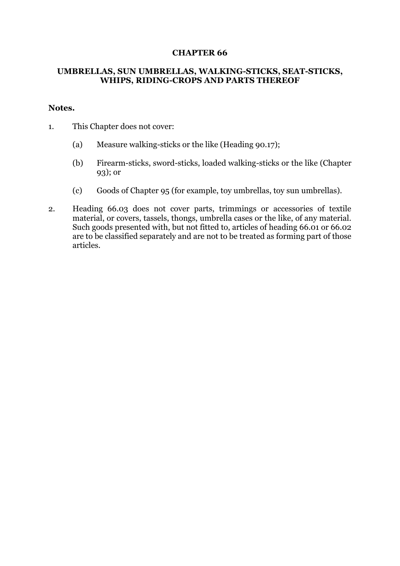#### **CHAPTER 66**

# **UMBRELLAS, SUN UMBRELLAS, WALKING-STICKS, SEAT-STICKS, WHIPS, RIDING-CROPS AND PARTS THEREOF**

- 1. This Chapter does not cover:
	- (a) Measure walking-sticks or the like (Heading 90.17);
	- (b) Firearm-sticks, sword-sticks, loaded walking-sticks or the like (Chapter 93); or
	- (c) Goods of Chapter 95 (for example, toy umbrellas, toy sun umbrellas).
- 2. Heading 66.03 does not cover parts, trimmings or accessories of textile material, or covers, tassels, thongs, umbrella cases or the like, of any material. Such goods presented with, but not fitted to, articles of heading 66.01 or 66.02 are to be classified separately and are not to be treated as forming part of those articles.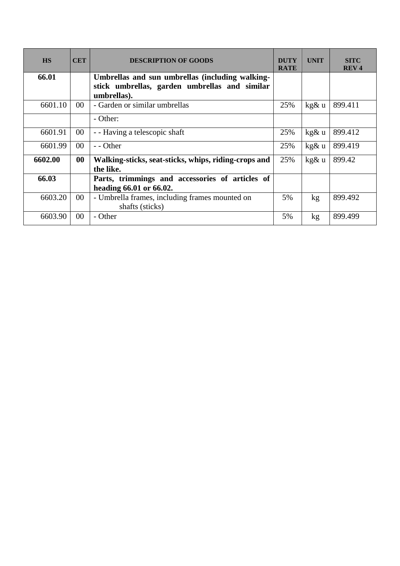| <b>HS</b> | <b>CET</b> | <b>DESCRIPTION OF GOODS</b>                                                                                     | <b>DUTY</b><br><b>RATE</b> | <b>UNIT</b>     | <b>SITC</b><br><b>REV4</b> |
|-----------|------------|-----------------------------------------------------------------------------------------------------------------|----------------------------|-----------------|----------------------------|
| 66.01     |            | Umbrellas and sun umbrellas (including walking-<br>stick umbrellas, garden umbrellas and similar<br>umbrellas). |                            |                 |                            |
| 6601.10   | $00\,$     | - Garden or similar umbrellas                                                                                   | 25%                        | kg& u           | 899.411                    |
|           |            | - Other:                                                                                                        |                            |                 |                            |
| 6601.91   | 00         | - - Having a telescopic shaft                                                                                   | 25%                        | kg& u           | 899.412                    |
| 6601.99   | $00\,$     | - - Other                                                                                                       | 25%                        | kg& u           | 899.419                    |
| 6602.00   | 00         | Walking-sticks, seat-sticks, whips, riding-crops and<br>the like.                                               | 25%                        | kg&u            | 899.42                     |
| 66.03     |            | Parts, trimmings and accessories of articles of<br>heading 66.01 or 66.02.                                      |                            |                 |                            |
| 6603.20   | $00\,$     | - Umbrella frames, including frames mounted on<br>shafts (sticks)                                               | 5%                         | kg <sub>1</sub> | 899.492                    |
| 6603.90   | $00\,$     | - Other                                                                                                         | 5%                         | kg              | 899.499                    |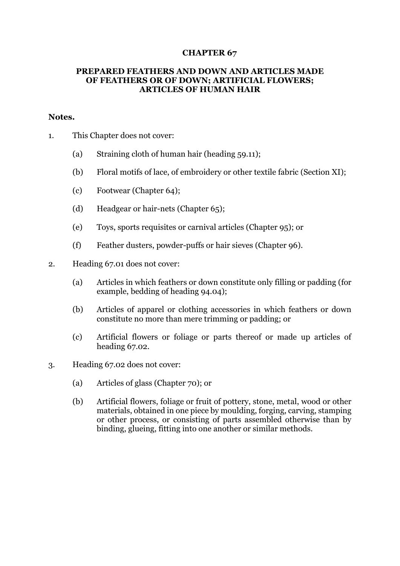# **CHAPTER 67**

#### **PREPARED FEATHERS AND DOWN AND ARTICLES MADE OF FEATHERS OR OF DOWN; ARTIFICIAL FLOWERS; ARTICLES OF HUMAN HAIR**

- 1. This Chapter does not cover:
	- (a) Straining cloth of human hair (heading 59.11);
	- (b) Floral motifs of lace, of embroidery or other textile fabric (Section XI);
	- (c) Footwear (Chapter 64);
	- (d) Headgear or hair-nets (Chapter 65);
	- (e) Toys, sports requisites or carnival articles (Chapter 95); or
	- (f) Feather dusters, powder-puffs or hair sieves (Chapter 96).
- 2. Heading 67.01 does not cover:
	- (a) Articles in which feathers or down constitute only filling or padding (for example, bedding of heading 94.04);
	- (b) Articles of apparel or clothing accessories in which feathers or down constitute no more than mere trimming or padding; or
	- (c) Artificial flowers or foliage or parts thereof or made up articles of heading 67.02.
- 3. Heading 67.02 does not cover:
	- (a) Articles of glass (Chapter 70); or
	- (b) Artificial flowers, foliage or fruit of pottery, stone, metal, wood or other materials, obtained in one piece by moulding, forging, carving, stamping or other process, or consisting of parts assembled otherwise than by binding, glueing, fitting into one another or similar methods.